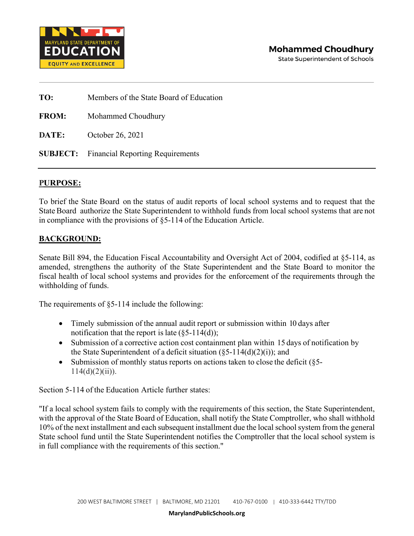

**TO:** Members of the State Board of Education **FROM:** Mohammed Choudhury **DATE:** October 26, 2021 **SUBJECT:** Financial Reporting Requirements

## **PURPOSE:**

To brief the State Board on the status of audit reports of local school systems and to request that the State Board authorize the State Superintendent to withhold funds from local school systems that are not in compliance with the provisions of §5-114 of the Education Article.

## **BACKGROUND:**

Senate Bill 894, the Education Fiscal Accountability and Oversight Act of 2004, codified at §5-114, as amended, strengthens the authority of the State Superintendent and the State Board to monitor the fiscal health of local school systems and provides for the enforcement of the requirements through the withholding of funds.

The requirements of §5-114 include the following:

- Timely submission of the annual audit report or submission within 10 days after notification that the report is late  $(\S 5$ -114(d));
- Submission of a corrective action cost containment plan within 15 days of notification by the State Superintendent of a deficit situation  $(\xi 5{\text -}114(d)(2)(i))$ ; and
- Submission of monthly status reports on actions taken to close the deficit (§5- $114(d)(2)(ii)$ ).

Section 5-114 of the Education Article further states:

"If a local school system fails to comply with the requirements of this section, the State Superintendent, with the approval of the State Board of Education, shall notify the State Comptroller, who shall withhold 10% of the next installment and each subsequent installment due the local school system from the general State school fund until the State Superintendent notifies the Comptroller that the local school system is in full compliance with the requirements of this section."